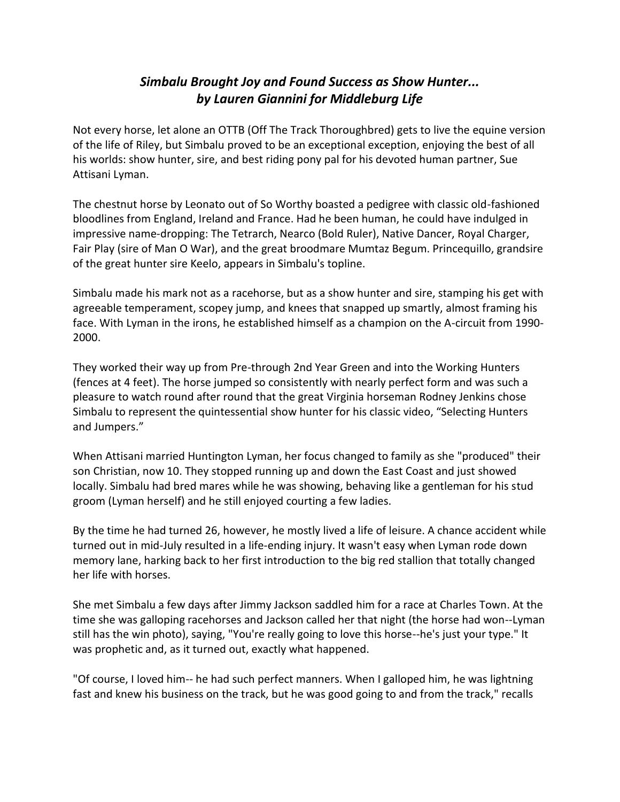## *Simbalu Brought Joy and Found Success as Show Hunter... by Lauren Giannini for Middleburg Life*

Not every horse, let alone an OTTB (Off The Track Thoroughbred) gets to live the equine version of the life of Riley, but Simbalu proved to be an exceptional exception, enjoying the best of all his worlds: show hunter, sire, and best riding pony pal for his devoted human partner, Sue Attisani Lyman.

The chestnut horse by Leonato out of So Worthy boasted a pedigree with classic old-fashioned bloodlines from England, Ireland and France. Had he been human, he could have indulged in impressive name-dropping: The Tetrarch, Nearco (Bold Ruler), Native Dancer, Royal Charger, Fair Play (sire of Man O War), and the great broodmare Mumtaz Begum. Princequillo, grandsire of the great hunter sire Keelo, appears in Simbalu's topline.

Simbalu made his mark not as a racehorse, but as a show hunter and sire, stamping his get with agreeable temperament, scopey jump, and knees that snapped up smartly, almost framing his face. With Lyman in the irons, he established himself as a champion on the A-circuit from 1990- 2000.

They worked their way up from Pre-through 2nd Year Green and into the Working Hunters (fences at 4 feet). The horse jumped so consistently with nearly perfect form and was such a pleasure to watch round after round that the great Virginia horseman Rodney Jenkins chose Simbalu to represent the quintessential show hunter for his classic video, "Selecting Hunters and Jumpers."

When Attisani married Huntington Lyman, her focus changed to family as she "produced" their son Christian, now 10. They stopped running up and down the East Coast and just showed locally. Simbalu had bred mares while he was showing, behaving like a gentleman for his stud groom (Lyman herself) and he still enjoyed courting a few ladies.

By the time he had turned 26, however, he mostly lived a life of leisure. A chance accident while turned out in mid-July resulted in a life-ending injury. It wasn't easy when Lyman rode down memory lane, harking back to her first introduction to the big red stallion that totally changed her life with horses.

She met Simbalu a few days after Jimmy Jackson saddled him for a race at Charles Town. At the time she was galloping racehorses and Jackson called her that night (the horse had won--Lyman still has the win photo), saying, "You're really going to love this horse--he's just your type." It was prophetic and, as it turned out, exactly what happened.

"Of course, I loved him-- he had such perfect manners. When I galloped him, he was lightning fast and knew his business on the track, but he was good going to and from the track," recalls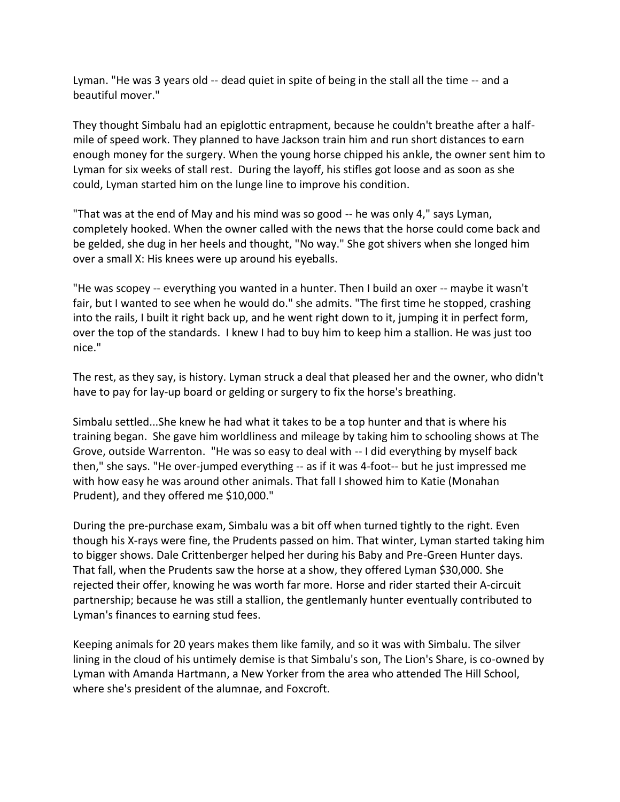Lyman. "He was 3 years old -- dead quiet in spite of being in the stall all the time -- and a beautiful mover."

They thought Simbalu had an epiglottic entrapment, because he couldn't breathe after a halfmile of speed work. They planned to have Jackson train him and run short distances to earn enough money for the surgery. When the young horse chipped his ankle, the owner sent him to Lyman for six weeks of stall rest. During the layoff, his stifles got loose and as soon as she could, Lyman started him on the lunge line to improve his condition.

"That was at the end of May and his mind was so good -- he was only 4," says Lyman, completely hooked. When the owner called with the news that the horse could come back and be gelded, she dug in her heels and thought, "No way." She got shivers when she longed him over a small X: His knees were up around his eyeballs.

"He was scopey -- everything you wanted in a hunter. Then I build an oxer -- maybe it wasn't fair, but I wanted to see when he would do." she admits. "The first time he stopped, crashing into the rails, I built it right back up, and he went right down to it, jumping it in perfect form, over the top of the standards. I knew I had to buy him to keep him a stallion. He was just too nice."

The rest, as they say, is history. Lyman struck a deal that pleased her and the owner, who didn't have to pay for lay-up board or gelding or surgery to fix the horse's breathing.

Simbalu settled...She knew he had what it takes to be a top hunter and that is where his training began. She gave him worldliness and mileage by taking him to schooling shows at The Grove, outside Warrenton. "He was so easy to deal with -- I did everything by myself back then," she says. "He over-jumped everything -- as if it was 4-foot-- but he just impressed me with how easy he was around other animals. That fall I showed him to Katie (Monahan Prudent), and they offered me \$10,000."

During the pre-purchase exam, Simbalu was a bit off when turned tightly to the right. Even though his X-rays were fine, the Prudents passed on him. That winter, Lyman started taking him to bigger shows. Dale Crittenberger helped her during his Baby and Pre-Green Hunter days. That fall, when the Prudents saw the horse at a show, they offered Lyman \$30,000. She rejected their offer, knowing he was worth far more. Horse and rider started their A-circuit partnership; because he was still a stallion, the gentlemanly hunter eventually contributed to Lyman's finances to earning stud fees.

Keeping animals for 20 years makes them like family, and so it was with Simbalu. The silver lining in the cloud of his untimely demise is that Simbalu's son, The Lion's Share, is co-owned by Lyman with Amanda Hartmann, a New Yorker from the area who attended The Hill School, where she's president of the alumnae, and Foxcroft.